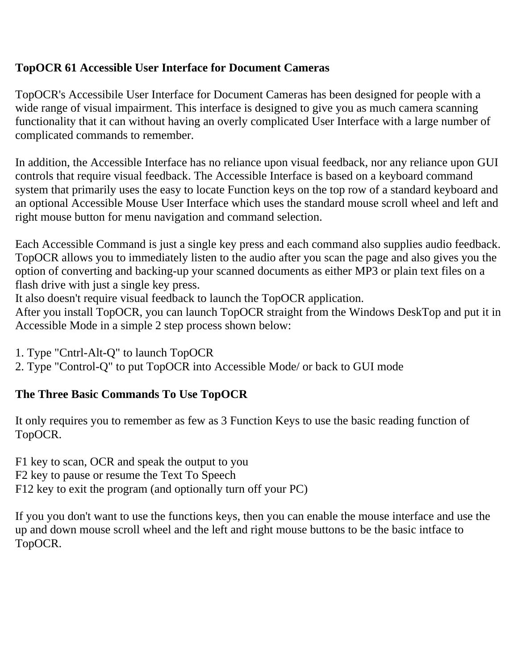#### **TopOCR 61 Accessible User Interface for Document Cameras**

TopOCR's Accessibile User Interface for Document Cameras has been designed for people with a wide range of visual impairment. This interface is designed to give you as much camera scanning functionality that it can without having an overly complicated User Interface with a large number of complicated commands to remember.

In addition, the Accessible Interface has no reliance upon visual feedback, nor any reliance upon GUI controls that require visual feedback. The Accessible Interface is based on a keyboard command system that primarily uses the easy to locate Function keys on the top row of a standard keyboard and an optional Accessible Mouse User Interface which uses the standard mouse scroll wheel and left and right mouse button for menu navigation and command selection.

Each Accessible Command is just a single key press and each command also supplies audio feedback. TopOCR allows you to immediately listen to the audio after you scan the page and also gives you the option of converting and backing-up your scanned documents as either MP3 or plain text files on a flash drive with just a single key press.

It also doesn't require visual feedback to launch the TopOCR application.

After you install TopOCR, you can launch TopOCR straight from the Windows DeskTop and put it in Accessible Mode in a simple 2 step process shown below:

1. Type "Cntrl-Alt-Q" to launch TopOCR

2. Type "Control-Q" to put TopOCR into Accessible Mode/ or back to GUI mode

### **The Three Basic Commands To Use TopOCR**

It only requires you to remember as few as 3 Function Keys to use the basic reading function of TopOCR.

F1 key to scan, OCR and speak the output to you

F2 key to pause or resume the Text To Speech

F12 key to exit the program (and optionally turn off your PC)

If you you don't want to use the functions keys, then you can enable the mouse interface and use the up and down mouse scroll wheel and the left and right mouse buttons to be the basic intface to TopOCR.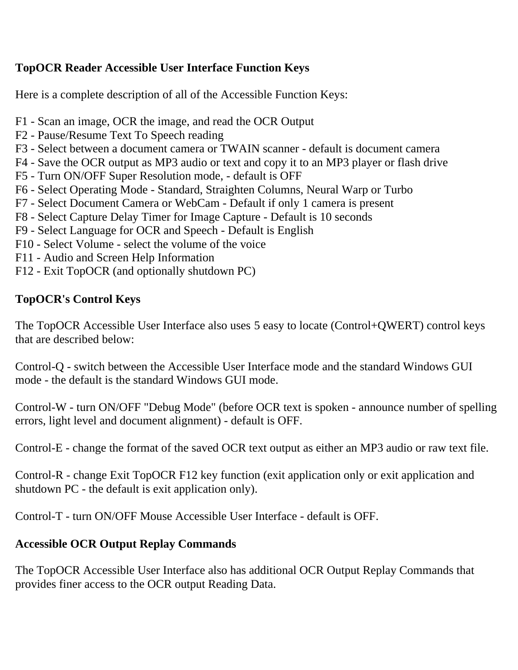#### **TopOCR Reader Accessible User Interface Function Keys**

Here is a complete description of all of the Accessible Function Keys:

- F1 Scan an image, OCR the image, and read the OCR Output
- F2 Pause/Resume Text To Speech reading
- F3 Select between a document camera or TWAIN scanner default is document camera
- F4 Save the OCR output as MP3 audio or text and copy it to an MP3 player or flash drive
- F5 Turn ON/OFF Super Resolution mode, default is OFF
- F6 Select Operating Mode Standard, Straighten Columns, Neural Warp or Turbo
- F7 Select Document Camera or WebCam Default if only 1 camera is present
- F8 Select Capture Delay Timer for Image Capture Default is 10 seconds
- F9 Select Language for OCR and Speech Default is English
- F10 Select Volume select the volume of the voice
- F11 Audio and Screen Help Information
- F12 Exit TopOCR (and optionally shutdown PC)

## **TopOCR's Control Keys**

The TopOCR Accessible User Interface also uses 5 easy to locate (Control+QWERT) control keys that are described below:

Control-Q - switch between the Accessible User Interface mode and the standard Windows GUI mode - the default is the standard Windows GUI mode.

Control-W - turn ON/OFF "Debug Mode" (before OCR text is spoken - announce number of spelling errors, light level and document alignment) - default is OFF.

Control-E - change the format of the saved OCR text output as either an MP3 audio or raw text file.

Control-R - change Exit TopOCR F12 key function (exit application only or exit application and shutdown PC - the default is exit application only).

Control-T - turn ON/OFF Mouse Accessible User Interface - default is OFF.

# **Accessible OCR Output Replay Commands**

The TopOCR Accessible User Interface also has additional OCR Output Replay Commands that provides finer access to the OCR output Reading Data.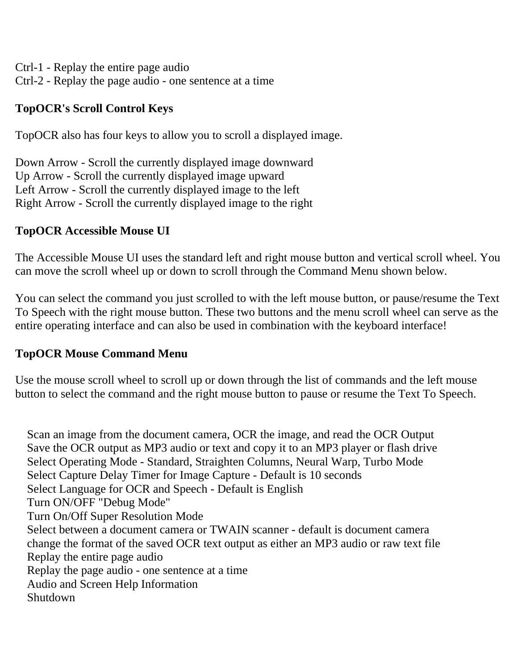Ctrl-1 - Replay the entire page audio Ctrl-2 - Replay the page audio - one sentence at a time

## **TopOCR's Scroll Control Keys**

TopOCR also has four keys to allow you to scroll a displayed image.

Down Arrow - Scroll the currently displayed image downward Up Arrow - Scroll the currently displayed image upward Left Arrow - Scroll the currently displayed image to the left Right Arrow - Scroll the currently displayed image to the right

#### **TopOCR Accessible Mouse UI**

The Accessible Mouse UI uses the standard left and right mouse button and vertical scroll wheel. You can move the scroll wheel up or down to scroll through the Command Menu shown below.

You can select the command you just scrolled to with the left mouse button, or pause/resume the Text To Speech with the right mouse button. These two buttons and the menu scroll wheel can serve as the entire operating interface and can also be used in combination with the keyboard interface!

#### **TopOCR Mouse Command Menu**

Use the mouse scroll wheel to scroll up or down through the list of commands and the left mouse button to select the command and the right mouse button to pause or resume the Text To Speech.

 Scan an image from the document camera, OCR the image, and read the OCR Output Save the OCR output as MP3 audio or text and copy it to an MP3 player or flash drive Select Operating Mode - Standard, Straighten Columns, Neural Warp, Turbo Mode Select Capture Delay Timer for Image Capture - Default is 10 seconds Select Language for OCR and Speech - Default is English Turn ON/OFF "Debug Mode" Turn On/Off Super Resolution Mode Select between a document camera or TWAIN scanner - default is document camera change the format of the saved OCR text output as either an MP3 audio or raw text file Replay the entire page audio Replay the page audio - one sentence at a time Audio and Screen Help Information Shutdown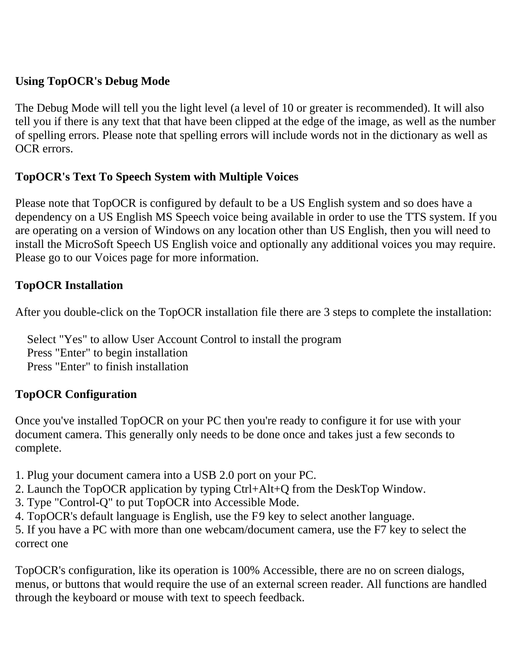### **Using TopOCR's Debug Mode**

The Debug Mode will tell you the light level (a level of 10 or greater is recommended). It will also tell you if there is any text that that have been clipped at the edge of the image, as well as the number of spelling errors. Please note that spelling errors will include words not in the dictionary as well as OCR errors.

### **TopOCR's Text To Speech System with Multiple Voices**

Please note that TopOCR is configured by default to be a US English system and so does have a dependency on a US English MS Speech voice being available in order to use the TTS system. If you are operating on a version of Windows on any location other than US English, then you will need to install the MicroSoft Speech US English voice and optionally any additional voices you may require. Please go to our Voices page for more information.

#### **TopOCR Installation**

After you double-click on the TopOCR installation file there are 3 steps to complete the installation:

 Select "Yes" to allow User Account Control to install the program Press "Enter" to begin installation Press "Enter" to finish installation

### **TopOCR Configuration**

Once you've installed TopOCR on your PC then you're ready to configure it for use with your document camera. This generally only needs to be done once and takes just a few seconds to complete.

1. Plug your document camera into a USB 2.0 port on your PC.

- 2. Launch the TopOCR application by typing Ctrl+Alt+Q from the DeskTop Window.
- 3. Type "Control-Q" to put TopOCR into Accessible Mode.
- 4. TopOCR's default language is English, use the F9 key to select another language.

5. If you have a PC with more than one webcam/document camera, use the F7 key to select the correct one

TopOCR's configuration, like its operation is 100% Accessible, there are no on screen dialogs, menus, or buttons that would require the use of an external screen reader. All functions are handled through the keyboard or mouse with text to speech feedback.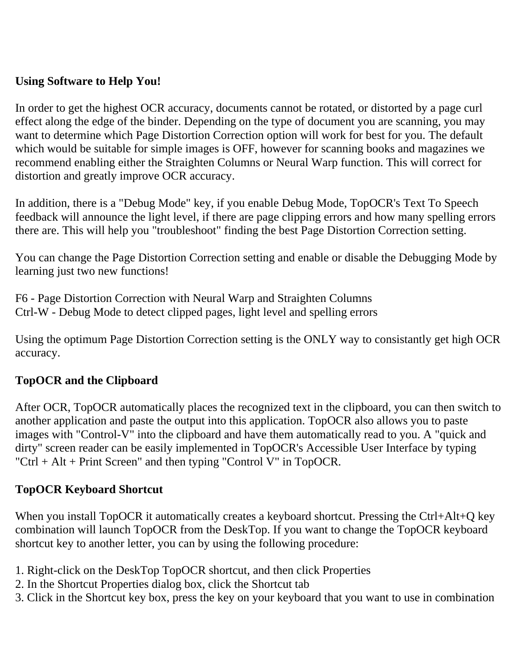### **Using Software to Help You!**

In order to get the highest OCR accuracy, documents cannot be rotated, or distorted by a page curl effect along the edge of the binder. Depending on the type of document you are scanning, you may want to determine which Page Distortion Correction option will work for best for you. The default which would be suitable for simple images is OFF, however for scanning books and magazines we recommend enabling either the Straighten Columns or Neural Warp function. This will correct for distortion and greatly improve OCR accuracy.

In addition, there is a "Debug Mode" key, if you enable Debug Mode, TopOCR's Text To Speech feedback will announce the light level, if there are page clipping errors and how many spelling errors there are. This will help you "troubleshoot" finding the best Page Distortion Correction setting.

You can change the Page Distortion Correction setting and enable or disable the Debugging Mode by learning just two new functions!

F6 - Page Distortion Correction with Neural Warp and Straighten Columns Ctrl-W - Debug Mode to detect clipped pages, light level and spelling errors

Using the optimum Page Distortion Correction setting is the ONLY way to consistantly get high OCR accuracy.

### **TopOCR and the Clipboard**

After OCR, TopOCR automatically places the recognized text in the clipboard, you can then switch to another application and paste the output into this application. TopOCR also allows you to paste images with "Control-V" into the clipboard and have them automatically read to you. A "quick and dirty" screen reader can be easily implemented in TopOCR's Accessible User Interface by typing "Ctrl + Alt + Print Screen" and then typing "Control V" in TopOCR.

#### **TopOCR Keyboard Shortcut**

When you install TopOCR it automatically creates a keyboard shortcut. Pressing the Ctrl+Alt+Q key combination will launch TopOCR from the DeskTop. If you want to change the TopOCR keyboard shortcut key to another letter, you can by using the following procedure:

- 1. Right-click on the DeskTop TopOCR shortcut, and then click Properties
- 2. In the Shortcut Properties dialog box, click the Shortcut tab
- 3. Click in the Shortcut key box, press the key on your keyboard that you want to use in combination